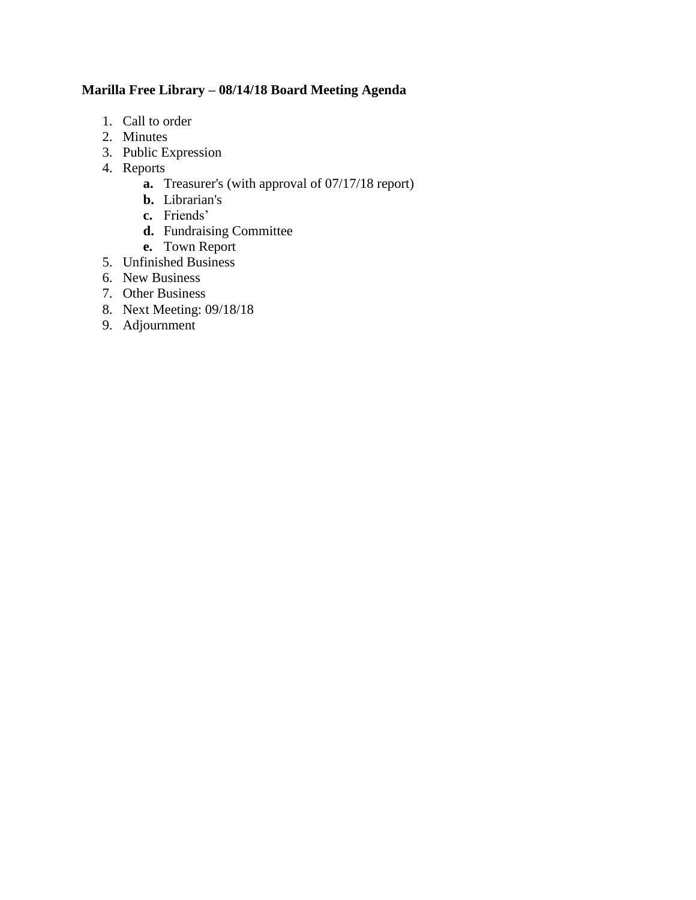# **Marilla Free Library – 08/14/18 Board Meeting Agenda**

- 1. Call to order
- 2. Minutes
- 3. Public Expression
- 4. Reports
	- **a.** Treasurer's (with approval of 07/17/18 report)
	- **b.** Librarian's
	- **c.** Friends'
	- **d.** Fundraising Committee
	- **e.** Town Report
- 5. Unfinished Business
- 6. New Business
- 7. Other Business
- 8. Next Meeting: 09/18/18
- 9. Adjournment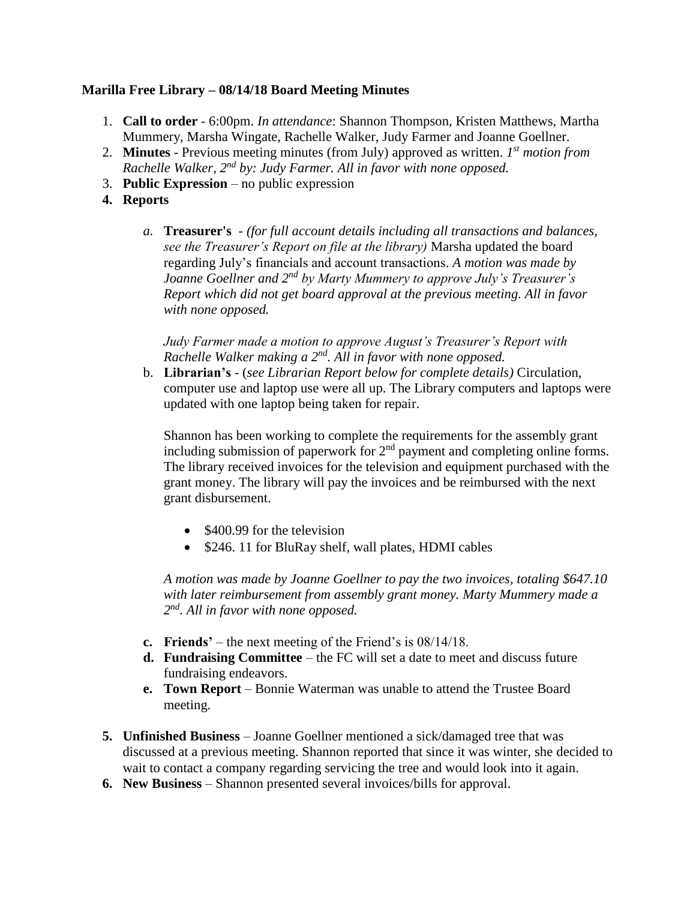#### **Marilla Free Library – 08/14/18 Board Meeting Minutes**

- 1. **Call to order** 6:00pm. *In attendance*: Shannon Thompson, Kristen Matthews, Martha Mummery, Marsha Wingate, Rachelle Walker, Judy Farmer and Joanne Goellner.
- 2. **Minutes** Previous meeting minutes (from July) approved as written. *1 st motion from Rachelle Walker, 2nd by: Judy Farmer. All in favor with none opposed.*
- 3. **Public Expression** no public expression
- **4. Reports**
	- *a.* **Treasurer's** *(for full account details including all transactions and balances, see the Treasurer's Report on file at the library)* Marsha updated the board regarding July's financials and account transactions. *A motion was made by Joanne Goellner and 2nd by Marty Mummery to approve July's Treasurer's Report which did not get board approval at the previous meeting. All in favor with none opposed.*

*Judy Farmer made a motion to approve August's Treasurer's Report with Rachelle Walker making a 2nd. All in favor with none opposed.* 

b. **Librarian's** - (*see Librarian Report below for complete details)* Circulation, computer use and laptop use were all up. The Library computers and laptops were updated with one laptop being taken for repair.

Shannon has been working to complete the requirements for the assembly grant including submission of paperwork for 2<sup>nd</sup> payment and completing online forms. The library received invoices for the television and equipment purchased with the grant money. The library will pay the invoices and be reimbursed with the next grant disbursement.

- $\bullet$  \$400.99 for the television
- \$246. 11 for BluRay shelf, wall plates, HDMI cables

*A motion was made by Joanne Goellner to pay the two invoices, totaling \$647.10 with later reimbursement from assembly grant money. Marty Mummery made a 2 nd. All in favor with none opposed.* 

- **c. Friends'** the next meeting of the Friend's is 08/14/18.
- **d. Fundraising Committee** the FC will set a date to meet and discuss future fundraising endeavors.
- **e. Town Report** Bonnie Waterman was unable to attend the Trustee Board meeting.
- **5. Unfinished Business**  Joanne Goellner mentioned a sick/damaged tree that was discussed at a previous meeting. Shannon reported that since it was winter, she decided to wait to contact a company regarding servicing the tree and would look into it again.
- **6. New Business** Shannon presented several invoices/bills for approval.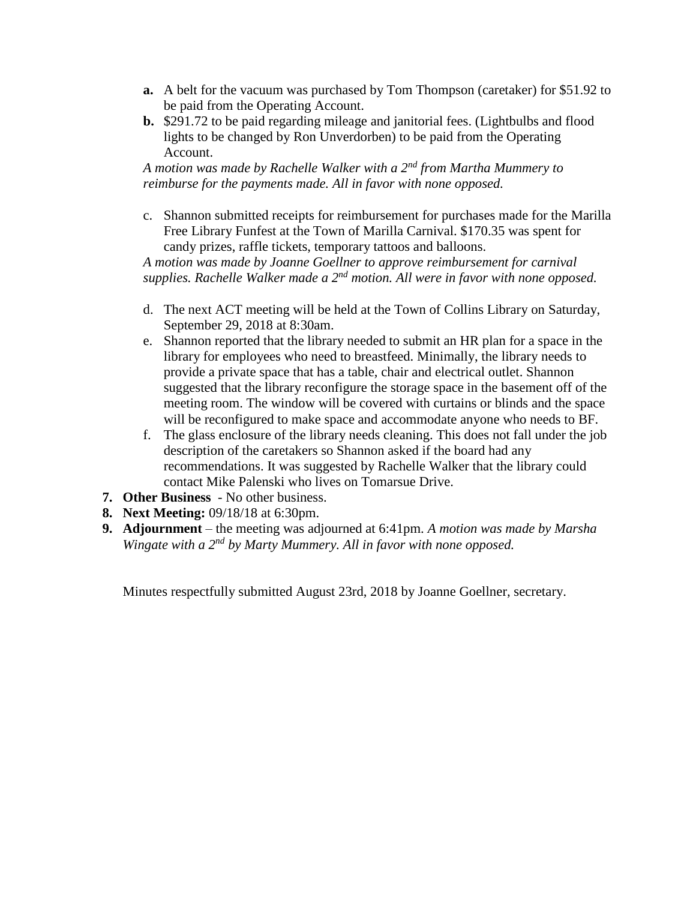- **a.** A belt for the vacuum was purchased by Tom Thompson (caretaker) for \$51.92 to be paid from the Operating Account.
- **b.** \$291.72 to be paid regarding mileage and janitorial fees. (Lightbulbs and flood lights to be changed by Ron Unverdorben) to be paid from the Operating Account.

*A motion was made by Rachelle Walker with a 2nd from Martha Mummery to reimburse for the payments made. All in favor with none opposed.* 

c. Shannon submitted receipts for reimbursement for purchases made for the Marilla Free Library Funfest at the Town of Marilla Carnival. \$170.35 was spent for candy prizes, raffle tickets, temporary tattoos and balloons.

*A motion was made by Joanne Goellner to approve reimbursement for carnival supplies. Rachelle Walker made a 2nd motion. All were in favor with none opposed.*

- d. The next ACT meeting will be held at the Town of Collins Library on Saturday, September 29, 2018 at 8:30am.
- e. Shannon reported that the library needed to submit an HR plan for a space in the library for employees who need to breastfeed. Minimally, the library needs to provide a private space that has a table, chair and electrical outlet. Shannon suggested that the library reconfigure the storage space in the basement off of the meeting room. The window will be covered with curtains or blinds and the space will be reconfigured to make space and accommodate anyone who needs to BF.
- f. The glass enclosure of the library needs cleaning. This does not fall under the job description of the caretakers so Shannon asked if the board had any recommendations. It was suggested by Rachelle Walker that the library could contact Mike Palenski who lives on Tomarsue Drive.
- **7. Other Business**  No other business.
- **8. Next Meeting:** 09/18/18 at 6:30pm.
- **9. Adjournment** the meeting was adjourned at 6:41pm. *A motion was made by Marsha Wingate with a 2nd by Marty Mummery. All in favor with none opposed.*

Minutes respectfully submitted August 23rd, 2018 by Joanne Goellner, secretary.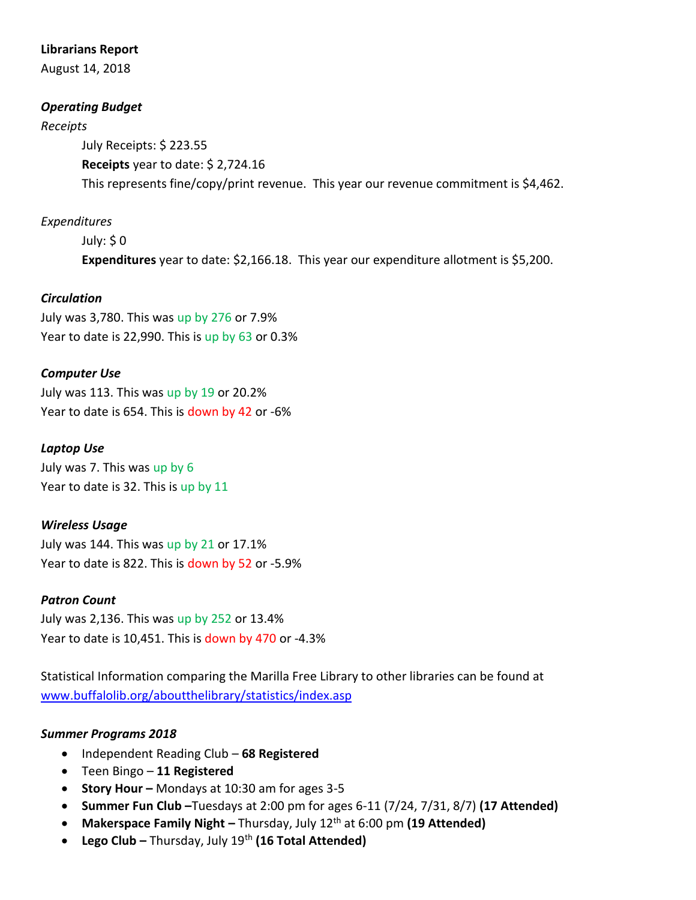#### **Librarians Report**

August 14, 2018

### *Operating Budget*

#### *Receipts*

July Receipts: \$ 223.55 **Receipts** year to date: \$ 2,724.16 This represents fine/copy/print revenue. This year our revenue commitment is \$4,462.

# *Expenditures*

July: \$ 0 **Expenditures** year to date: \$2,166.18. This year our expenditure allotment is \$5,200.

### *Circulation*

July was 3,780. This was up by 276 or 7.9% Year to date is 22,990. This is up by 63 or 0.3%

### *Computer Use*

July was 113. This was up by 19 or 20.2% Year to date is 654. This is down by 42 or -6%

## *Laptop Use*

July was 7. This was up by 6 Year to date is 32. This is up by 11

### *Wireless Usage*

July was 144. This was up by 21 or 17.1% Year to date is 822. This is down by 52 or -5.9%

### *Patron Count*

July was 2,136. This was up by 252 or 13.4% Year to date is 10,451. This is down by 470 or -4.3%

Statistical Information comparing the Marilla Free Library to other libraries can be found at [www.buffalolib.org/aboutthelibrary/statistics/index.asp](http://www.buffalolib.org/aboutthelibrary/statistics/index.asp)

### *Summer Programs 2018*

- Independent Reading Club **68 Registered**
- Teen Bingo **11 Registered**
- **Story Hour –** Mondays at 10:30 am for ages 3-5
- **Summer Fun Club –**Tuesdays at 2:00 pm for ages 6-11 (7/24, 7/31, 8/7) **(17 Attended)**
- **•** Makerspace Family Night Thursday, July 12<sup>th</sup> at 6:00 pm (19 Attended)
- **Lego Club –** Thursday, July 19th **(16 Total Attended)**